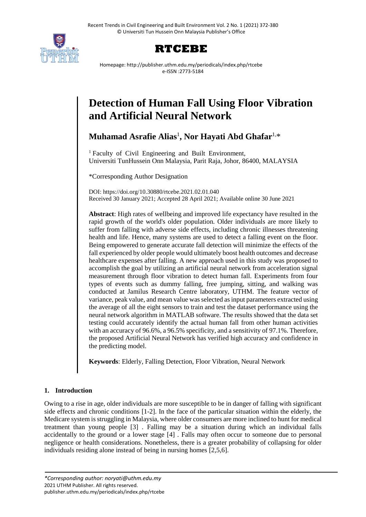



Homepage: http://publisher.uthm.edu.my/periodicals/index.php/rtcebe e-ISSN :2773-5184

# **Detection of Human Fall Using Floor Vibration and Artificial Neural Network**

**Muhamad Asrafie Alias**<sup>1</sup> **, Nor Hayati Abd Ghafar**1,\*

<sup>1</sup> Faculty of Civil Engineering and Built Environment, Universiti TunHussein Onn Malaysia, Parit Raja, Johor, 86400, MALAYSIA

\*Corresponding Author Designation

DOI: https://doi.org/10.30880/rtcebe.2021.02.01.040 Received 30 January 2021; Accepted 28 April 2021; Available online 30 June 2021

**Abstract**: High rates of wellbeing and improved life expectancy have resulted in the rapid growth of the world's older population. Older individuals are more likely to suffer from falling with adverse side effects, including chronic illnesses threatening health and life. Hence, many systems are used to detect a falling event on the floor. Being empowered to generate accurate fall detection will minimize the effects of the fall experienced by older people would ultimately boost health outcomes and decrease healthcare expenses after falling. A new approach used in this study was proposed to accomplish the goal by utilizing an artificial neural network from acceleration signal measurement through floor vibration to detect human fall. Experiments from four types of events such as dummy falling, free jumping, sitting, and walking was conducted at Jamilus Research Centre laboratory, UTHM. The feature vector of variance, peak value, and mean value was selected as input parameters extracted using the average of all the eight sensors to train and test the dataset performance using the neural network algorithm in MATLAB software. The results showed that the data set testing could accurately identify the actual human fall from other human activities with an accuracy of 96.6%, a 96.5% specificity, and a sensitivity of 97.1%. Therefore, the proposed Artificial Neural Network has verified high accuracy and confidence in the predicting model.

**Keywords**: Elderly, Falling Detection, Floor Vibration, Neural Network

## **1. Introduction**

Owing to a rise in age, older individuals are more susceptible to be in danger of falling with significant side effects and chronic conditions [1-2]. In the face of the particular situation within the elderly, the Medicare system is struggling in Malaysia, where older consumers are more inclined to hunt for medical treatment than young people [3] . Falling may be a situation during which an individual falls accidentally to the ground or a lower stage [4] . Falls may often occur to someone due to personal negligence or health considerations. Nonetheless, there is a greater probability of collapsing for older individuals residing alone instead of being in nursing homes [2,5,6].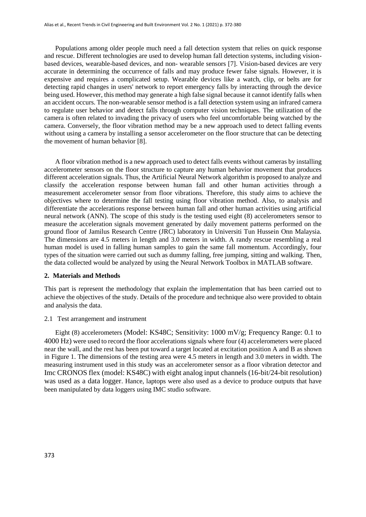Populations among older people much need a fall detection system that relies on quick response and rescue. Different technologies are used to develop human fall detection systems, including visionbased devices, wearable-based devices, and non- wearable sensors [7]. Vision-based devices are very accurate in determining the occurrence of falls and may produce fewer false signals. However, it is expensive and requires a complicated setup. Wearable devices like a watch, clip, or belts are for detecting rapid changes in users' network to report emergency falls by interacting through the device being used. However, this method may generate a high false signal because it cannot identify falls when an accident occurs. The non-wearable sensor method is a fall detection system using an infrared camera to regulate user behavior and detect falls through computer vision techniques. The utilization of the camera is often related to invading the privacy of users who feel uncomfortable being watched by the camera. Conversely, the floor vibration method may be a new approach used to detect falling events without using a camera by installing a sensor accelerometer on the floor structure that can be detecting the movement of human behavior [8].

A floor vibration method is a new approach used to detect falls events without cameras by installing accelerometer sensors on the floor structure to capture any human behavior movement that produces different acceleration signals. Thus, the Artificial Neural Network algorithm is proposed to analyze and classify the acceleration response between human fall and other human activities through a measurement accelerometer sensor from floor vibrations. Therefore, this study aims to achieve the objectives where to determine the fall testing using floor vibration method. Also, to analysis and differentiate the accelerations response between human fall and other human activities using artificial neural network (ANN). The scope of this study is the testing used eight (8) accelerometers sensor to measure the acceleration signals movement generated by daily movement patterns performed on the ground floor of Jamilus Research Centre (JRC) laboratory in Universiti Tun Hussein Onn Malaysia. The dimensions are 4.5 meters in length and 3.0 meters in width. A randy rescue resembling a real human model is used in falling human samples to gain the same fall momentum. Accordingly, four types of the situation were carried out such as dummy falling, free jumping, sitting and walking. Then, the data collected would be analyzed by using the Neural Network Toolbox in MATLAB software.

#### **2. Materials and Methods**

This part is represent the methodology that explain the implementation that has been carried out to achieve the objectives of the study. Details of the procedure and technique also were provided to obtain and analysis the data.

#### 2.1 Test arrangement and instrument

Eight (8) accelerometers (Model: KS48C; Sensitivity: 1000 mV/g; Frequency Range: 0.1 to 4000 Hz) were used to record the floor accelerations signals where four (4) accelerometers were placed near the wall, and the rest has been put toward a target located at excitation position A and B as shown in Figure 1. The dimensions of the testing area were 4.5 meters in length and 3.0 meters in width. The measuring instrument used in this study was an accelerometer sensor as a floor vibration detector and Imc CRONOS flex (model: KS48C) with eight analog input channels (16-bit/24-bit resolution) was used as a data logger. Hance, laptops were also used as a device to produce outputs that have been manipulated by data loggers using IMC studio software.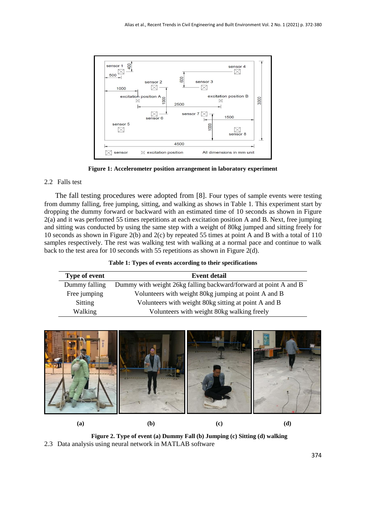

**Figure 1: Accelerometer position arrangement in laboratory experiment**

## 2.2 Falls test

The fall testing procedures were adopted from [8]. Four types of sample events were testing from dummy falling, free jumping, sitting, and walking as shows in Table 1. This experiment start by dropping the dummy forward or backward with an estimated time of 10 seconds as shown in Figure 2(a) and it was performed 55 times repetitions at each excitation position A and B. Next, free jumping and sitting was conducted by using the same step with a weight of 80kg jumped and sitting freely for 10 seconds as shown in Figure 2(b) and 2(c) by repeated 55 times at point A and B with a total of 110 samples respectively. The rest was walking test with walking at a normal pace and continue to walk back to the test area for 10 seconds with 55 repetitions as shown in Figure 2(d).

|  |  | Table 1: Types of events according to their specifications |
|--|--|------------------------------------------------------------|
|  |  |                                                            |

| <b>Type of event</b> | <b>Event detail</b>                                              |
|----------------------|------------------------------------------------------------------|
| Dummy falling        | Dummy with weight 26kg falling backward/forward at point A and B |
| Free jumping         | Volunteers with weight 80kg jumping at point A and B             |
| Sitting              | Volunteers with weight 80kg sitting at point A and B             |
| Walking              | Volunteers with weight 80kg walking freely                       |



**Figure 2. Type of event (a) Dummy Fall (b) Jumping (c) Sitting (d) walking** 2.3 Data analysis using neural network in MATLAB software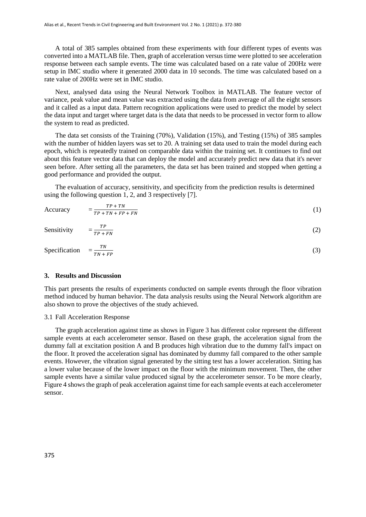A total of 385 samples obtained from these experiments with four different types of events was converted into a MATLAB file. Then, graph of acceleration versus time were plotted to see acceleration response between each sample events. The time was calculated based on a rate value of 200Hz were setup in IMC studio where it generated 2000 data in 10 seconds. The time was calculated based on a rate value of 200Hz were set in IMC studio.

Next, analysed data using the Neural Network Toolbox in MATLAB. The feature vector of variance, peak value and mean value was extracted using the data from average of all the eight sensors and it called as a input data. Pattern recognition applications were used to predict the model by select the data input and target where target data is the data that needs to be processed in vector form to allow the system to read as predicted.

The data set consists of the Training (70%), Validation (15%), and Testing (15%) of 385 samples with the number of hidden layers was set to 20. A training set data used to train the model during each epoch, which is repeatedly trained on comparable data within the training set. It continues to find out about this feature vector data that can deploy the model and accurately predict new data that it's never seen before. After setting all the parameters, the data set has been trained and stopped when getting a good performance and provided the output.

The evaluation of accuracy, sensitivity, and specificity from the prediction results is determined using the following question 1, 2, and 3 respectively [7].

**Accuracy**  $TP + TN$  $= \frac{1}{TP + TN + FP + FN}$ (1)

Sensitivity 
$$
= \frac{TP}{TP + FN}
$$
 (2)

Specification = T<sub>N</sub>  $TN + FP$ (3)

## **3. Results and Discussion**

This part presents the results of experiments conducted on sample events through the floor vibration method induced by human behavior. The data analysis results using the Neural Network algorithm are also shown to prove the objectives of the study achieved.

#### 3.1 Fall Acceleration Response

The graph acceleration against time as shows in Figure 3 has different color represent the different sample events at each accelerometer sensor. Based on these graph, the acceleration signal from the dummy fall at excitation position A and B produces high vibration due to the dummy fall's impact on the floor. It proved the acceleration signal has dominated by dummy fall compared to the other sample events. However, the vibration signal generated by the sitting test has a lower acceleration. Sitting has a lower value because of the lower impact on the floor with the minimum movement. Then, the other sample events have a similar value produced signal by the accelerometer sensor. To be more clearly, Figure 4 shows the graph of peak acceleration against time for each sample events at each accelerometer sensor.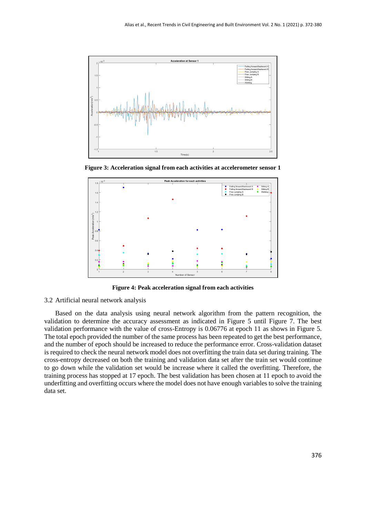

**Figure 3: Acceleration signal from each activities at accelerometer sensor 1**



**Figure 4: Peak acceleration signal from each activities**

## 3.2 Artificial neural network analysis

Based on the data analysis using neural network algorithm from the pattern recognition, the validation to determine the accuracy assessment as indicated in Figure 5 until Figure 7. The best validation performance with the value of cross-Entropy is 0.06776 at epoch 11 as shows in Figure 5. The total epoch provided the number of the same process has been repeated to get the best performance, and the number of epoch should be increased to reduce the performance error. Cross-validation dataset is required to check the neural network model does not overfitting the train data set during training. The cross-entropy decreased on both the training and validation data set after the train set would continue to go down while the validation set would be increase where it called the overfitting. Therefore, the training process has stopped at 17 epoch. The best validation has been chosen at 11 epoch to avoid the underfitting and overfitting occurs where the model does not have enough variables to solve the training data set.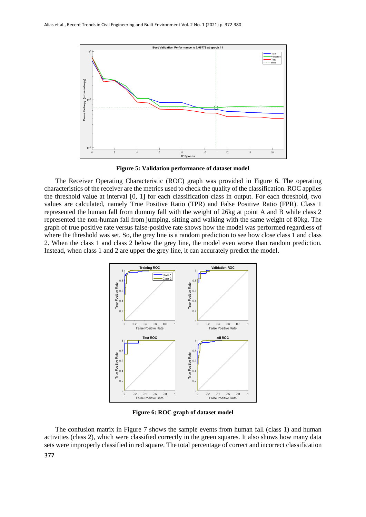

**Figure 5: Validation performance of dataset model**

The Receiver Operating Characteristic (ROC) graph was provided in Figure 6. The operating characteristics of the receiver are the metrics used to check the quality of the classification. ROC applies the threshold value at interval [0, 1] for each classification class in output. For each threshold, two values are calculated, namely True Positive Ratio (TPR) and False Positive Ratio (FPR). Class 1 represented the human fall from dummy fall with the weight of 26kg at point A and B while class 2 represented the non-human fall from jumping, sitting and walking with the same weight of 80kg. The graph of true positive rate versus false-positive rate shows how the model was performed regardless of where the threshold was set. So, the grey line is a random prediction to see how close class 1 and class 2. When the class 1 and class 2 below the grey line, the model even worse than random prediction. Instead, when class 1 and 2 are upper the grey line, it can accurately predict the model.



**Figure 6: ROC graph of dataset model**

The confusion matrix in Figure 7 shows the sample events from human fall (class 1) and human activities (class 2), which were classified correctly in the green squares. It also shows how many data sets were improperly classified in red square. The total percentage of correct and incorrect classification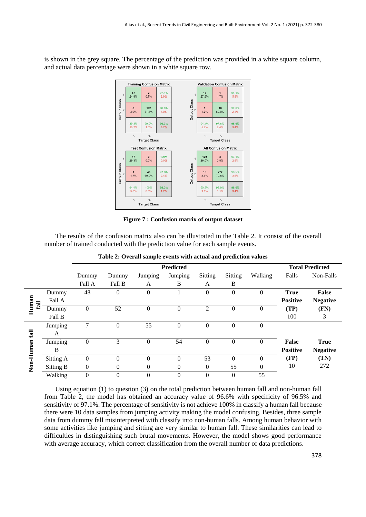is shown in the grey square. The percentage of the prediction was provided in a white square column, and actual data percentage were shown in a white square row.



**Figure 7 : Confusion matrix of output dataset**

The results of the confusion matrix also can be illustrated in the Table 2. It consist of the overall number of trained conducted with the prediction value for each sample events.

|                       |           | <b>Predicted</b> |              |                |                |          |                |              | <b>Total Predicted</b> |                 |
|-----------------------|-----------|------------------|--------------|----------------|----------------|----------|----------------|--------------|------------------------|-----------------|
|                       |           | Dummy            | Dummy        | Jumping        | Jumping        | Sitting  | Sitting        | Walking      | Falls                  | Non-Falls       |
|                       |           | Fall A           | Fall B       | A              | B              | A        | B              |              |                        |                 |
| Human<br>$\mathbb{I}$ | Dummy     | 48               | $\theta$     | $\overline{0}$ |                | $\theta$ | $\overline{0}$ | $\mathbf{0}$ | <b>True</b>            | False           |
|                       | Fall A    |                  |              |                |                |          |                |              | <b>Positive</b>        | <b>Negative</b> |
|                       | Dummy     | $\theta$         | 52           | $\theta$       | $\overline{0}$ | 2        | $\overline{0}$ | $\mathbf{0}$ | (TP)                   | (FN)            |
|                       | Fall B    |                  |              |                |                |          |                |              | 100                    | 3               |
| fall<br>Non-Human     | Jumping   | 7                | $\mathbf{0}$ | 55             | $\overline{0}$ | $\Omega$ | $\theta$       | $\mathbf{0}$ |                        |                 |
|                       | A         |                  |              |                |                |          |                |              |                        |                 |
|                       | Jumping   | $\boldsymbol{0}$ | 3            | $\Omega$       | 54             | $\Omega$ | $\Omega$       | $\Omega$     | False                  | True            |
|                       | B         |                  |              |                |                |          |                |              | <b>Positive</b>        | <b>Negative</b> |
|                       | Sitting A | $\boldsymbol{0}$ | $\theta$     | $\Omega$       | $\overline{0}$ | 53       | $\theta$       | $\mathbf{0}$ | (FP)                   | (TN)            |
|                       | Sitting B | $\theta$         | $\theta$     | $\theta$       | $\overline{0}$ | $\Omega$ | 55             | $\theta$     | 10                     | 272             |
|                       | Walking   | $\theta$         | $\Omega$     | $\Omega$       | $\overline{0}$ | $\Omega$ | $\Omega$       | 55           |                        |                 |

|  |  |  | Table 2: Overall sample events with actual and prediction values |  |
|--|--|--|------------------------------------------------------------------|--|
|  |  |  |                                                                  |  |

Using equation (1) to question (3) on the total prediction between human fall and non-human fall from Table 2, the model has obtained an accuracy value of 96.6% with specificity of 96.5% and sensitivity of 97.1%. The percentage of sensitivity is not achieve 100% in classify a human fall because there were 10 data samples from jumping activity making the model confusing. Besides, three sample data from dummy fall misinterpreted with classify into non-human falls. Among human behavior with some activities like jumping and sitting are very similar to human fall. These similarities can lead to difficulties in distinguishing such brutal movements. However, the model shows good performance with average accuracy, which correct classification from the overall number of data predictions.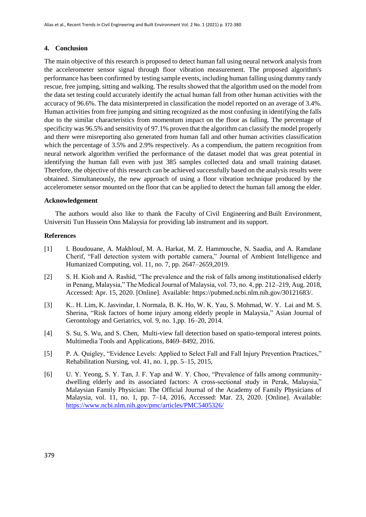## **4. Conclusion**

The main objective of this research is proposed to detect human fall using neural network analysis from the accelerometer sensor signal through floor vibration measurement. The proposed algorithm's performance has been confirmed by testing sample events, including human falling using dummy randy rescue, free jumping, sitting and walking. The results showed that the algorithm used on the model from the data set testing could accurately identify the actual human fall from other human activities with the accuracy of 96.6%. The data misinterpreted in classification the model reported on an average of 3.4%. Human activities from free jumping and sitting recognized as the most confusing in identifying the falls due to the similar characteristics from momentum impact on the floor as falling. The percentage of specificity was 96.5% and sensitivity of 97.1% proven that the algorithm can classify the model properly and there were misreporting also generated from human fall and other human activities classification which the percentage of 3.5% and 2.9% respectively. As a compendium, the pattern recognition from neural network algorithm verified the performance of the dataset model that was great potential in identifying the human fall even with just 385 samples collected data and small training dataset. Therefore, the objective of this research can be achieved successfully based on the analysis results were obtained. Simultaneously, the new approach of using a floor vibration technique produced by the accelerometer sensor mounted on the floor that can be applied to detect the human fall among the elder.

## **Acknowledgement**

The authors would also like to thank the Faculty of Civil Engineering and Built Environment, Universiti Tun Hussein Onn Malaysia for providing lab instrument and its support.

### **References**

- [1] I. Boudouane, A. Makhlouf, M. A. Harkat, M. Z. Hammouche, N. Saadia, and A. Ramdane Cherif, "Fall detection system with portable camera," Journal of Ambient Intelligence and Humanized Computing, vol. 11, no. 7, pp. 2647–2659,2019.
- [2] S. H. Kioh and A. Rashid, "The prevalence and the risk of falls among institutionalised elderly in Penang, Malaysia," The Medical Journal of Malaysia, vol. 73, no. 4, pp. 212–219, Aug. 2018, Accessed: Apr. 15, 2020. [Online]. Available: https://pubmed.ncbi.nlm.nih.gov/30121683/.
- [3] K.. H. Lim, K. Jasvindar, I. Normala, B. K. Ho, W. K. Yau, S. Mohmad, W. Y. Lai and M. S. Sherina, "Risk factors of home injury among elderly people in Malaysia," Asian Journal of Gerontology and Geriatrics, vol. 9, no. 1,pp. 16–20, 2014.
- [4] S. Su, S. Wu, and S. Chen, Multi-view fall detection based on spatio-temporal interest points. Multimedia Tools and Applications, 8469–8492, 2016.
- [5] P. A. Quigley, "Evidence Levels: Applied to Select Fall and Fall Injury Prevention Practices," Rehabilitation Nursing, vol. 41, no. 1, pp. 5–15, 2015,
- [6] U. Y. Yeong, S. Y. Tan, J. F. Yap and W. Y. Choo, "Prevalence of falls among communitydwelling elderly and its associated factors: A cross-sectional study in Perak, Malaysia," Malaysian Family Physician: The Official Journal of the Academy of Family Physicians of Malaysia, vol. 11, no. 1, pp. 7–14, 2016, Accessed: Mar. 23, 2020. [Online]. Available: <https://www.ncbi.nlm.nih.gov/pmc/articles/PMC5405326/>